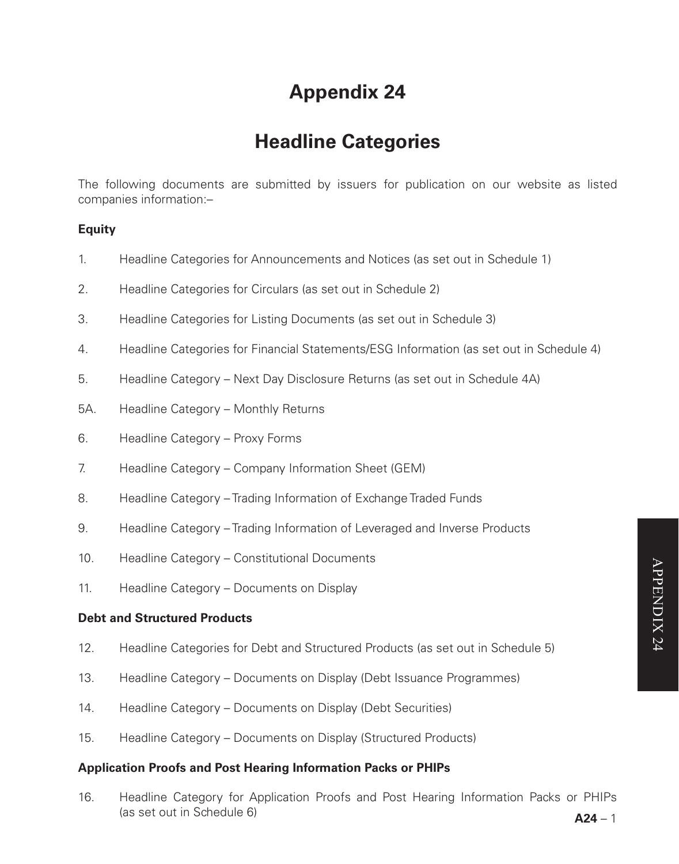# **Appendix 24**

# **Headline Categories**

The following documents are submitted by issuers for publication on our website as listed companies information:–

# **Equity**

- 1. Headline Categories for Announcements and Notices (as set out in Schedule 1)
- 2. Headline Categories for Circulars (as set out in Schedule 2)
- 3. Headline Categories for Listing Documents (as set out in Schedule 3)
- 4. Headline Categories for Financial Statements/ESG Information (as set out in Schedule 4)
- 5. Headline Category Next Day Disclosure Returns (as set out in Schedule 4A)
- 5A. Headline Category Monthly Returns
- 6. Headline Category Proxy Forms
- 7. Headline Category Company Information Sheet (GEM)
- 8. Headline Category Trading Information of Exchange Traded Funds
- 9. Headline Category Trading Information of Leveraged and Inverse Products
- 10. Headline Category Constitutional Documents
- 11. Headline Category Documents on Display

#### **Debt and Structured Products**

- 12. Headline Categories for Debt and Structured Products (as set out in Schedule 5)
- 13. Headline Category Documents on Display (Debt Issuance Programmes)
- 14. Headline Category Documents on Display (Debt Securities)
- 15. Headline Category Documents on Display (Structured Products)

#### **Application Proofs and Post Hearing Information Packs or PHIPs**

16. Headline Category for Application Proofs and Post Hearing Information Packs or PHIPs (as set out in Schedule 6)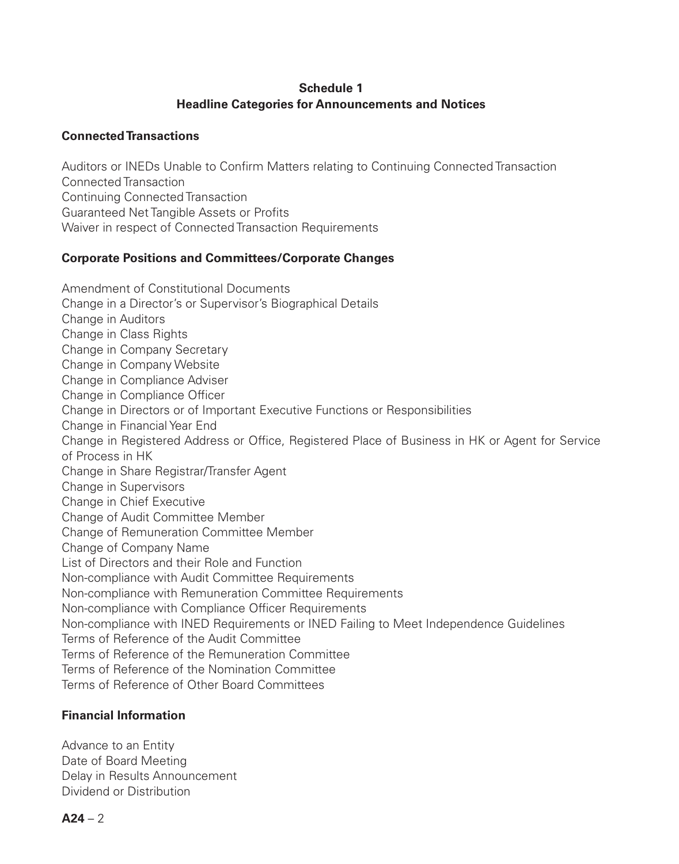# **Schedule 1 Headline Categories for Announcements and Notices**

## **Connected Transactions**

Auditors or INEDs Unable to Confirm Matters relating to Continuing Connected Transaction Connected Transaction Continuing Connected Transaction Guaranteed Net Tangible Assets or Profits Waiver in respect of Connected Transaction Requirements

## **Corporate Positions and Committees/Corporate Changes**

Amendment of Constitutional Documents Change in a Director's or Supervisor's Biographical Details Change in Auditors Change in Class Rights Change in Company Secretary Change in Company Website Change in Compliance Adviser Change in Compliance Officer Change in Directors or of Important Executive Functions or Responsibilities Change in Financial Year End Change in Registered Address or Office, Registered Place of Business in HK or Agent for Service of Process in HK Change in Share Registrar/Transfer Agent Change in Supervisors Change in Chief Executive Change of Audit Committee Member Change of Remuneration Committee Member Change of Company Name List of Directors and their Role and Function Non-compliance with Audit Committee Requirements Non-compliance with Remuneration Committee Requirements Non-compliance with Compliance Officer Requirements Non-compliance with INED Requirements or INED Failing to Meet Independence Guidelines Terms of Reference of the Audit Committee Terms of Reference of the Remuneration Committee Terms of Reference of the Nomination Committee Terms of Reference of Other Board Committees

# **Financial Information**

Advance to an Entity Date of Board Meeting Delay in Results Announcement Dividend or Distribution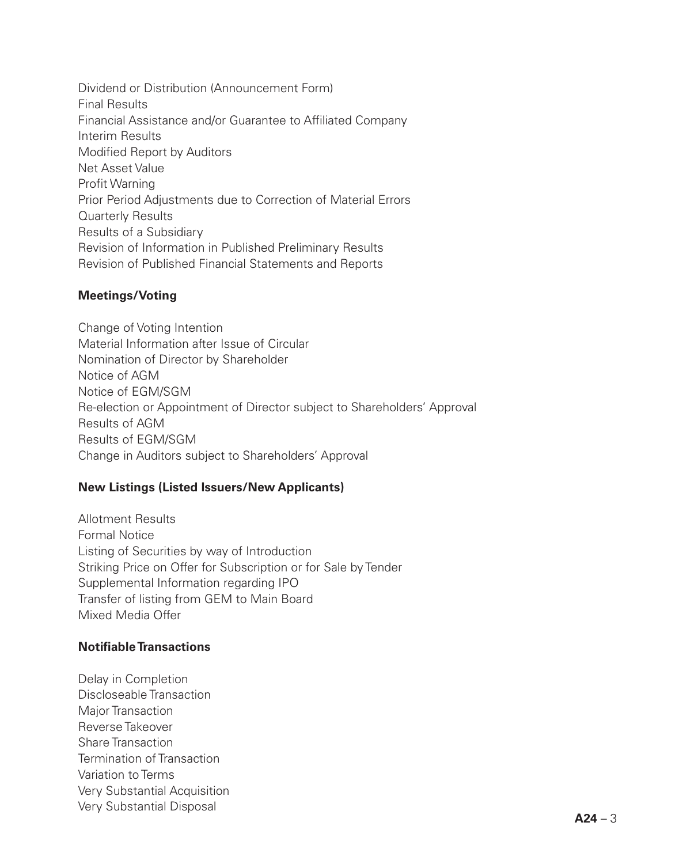Dividend or Distribution (Announcement Form) Final Results Financial Assistance and/or Guarantee to Affiliated Company Interim Results Modified Report by Auditors Net Asset Value Profit Warning Prior Period Adjustments due to Correction of Material Errors Quarterly Results Results of a Subsidiary Revision of Information in Published Preliminary Results Revision of Published Financial Statements and Reports

# **Meetings/Voting**

Change of Voting Intention Material Information after Issue of Circular Nomination of Director by Shareholder Notice of AGM Notice of EGM/SGM Re-election or Appointment of Director subject to Shareholders' Approval Results of AGM Results of EGM/SGM Change in Auditors subject to Shareholders' Approval

# **New Listings (Listed Issuers/New Applicants)**

Allotment Results Formal Notice Listing of Securities by way of Introduction Striking Price on Offer for Subscription or for Sale by Tender Supplemental Information regarding IPO Transfer of listing from GEM to Main Board Mixed Media Offer

# **Notifiable Transactions**

Delay in Completion Discloseable Transaction Major Transaction Reverse Takeover Share Transaction Termination of Transaction Variation to Terms Very Substantial Acquisition Very Substantial Disposal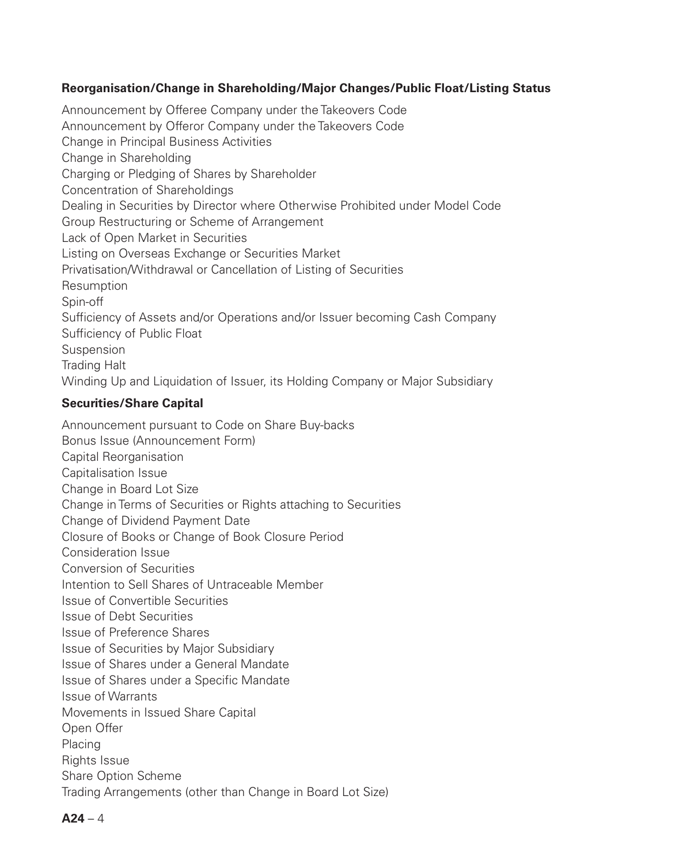## **Reorganisation/Change in Shareholding/Major Changes/Public Float/Listing Status**

Announcement by Offeree Company under the Takeovers Code Announcement by Offeror Company under the Takeovers Code Change in Principal Business Activities Change in Shareholding Charging or Pledging of Shares by Shareholder Concentration of Shareholdings Dealing in Securities by Director where Otherwise Prohibited under Model Code Group Restructuring or Scheme of Arrangement Lack of Open Market in Securities Listing on Overseas Exchange or Securities Market Privatisation/Withdrawal or Cancellation of Listing of Securities **Resumption** Spin-off Sufficiency of Assets and/or Operations and/or Issuer becoming Cash Company Sufficiency of Public Float **Suspension** Trading Halt Winding Up and Liquidation of Issuer, its Holding Company or Major Subsidiary

## **Securities/Share Capital**

Announcement pursuant to Code on Share Buy-backs Bonus Issue (Announcement Form) Capital Reorganisation Capitalisation Issue Change in Board Lot Size Change in Terms of Securities or Rights attaching to Securities Change of Dividend Payment Date Closure of Books or Change of Book Closure Period Consideration Issue Conversion of Securities Intention to Sell Shares of Untraceable Member Issue of Convertible Securities Issue of Debt Securities Issue of Preference Shares Issue of Securities by Major Subsidiary Issue of Shares under a General Mandate Issue of Shares under a Specific Mandate Issue of Warrants Movements in Issued Share Capital Open Offer Placing Rights Issue Share Option Scheme Trading Arrangements (other than Change in Board Lot Size)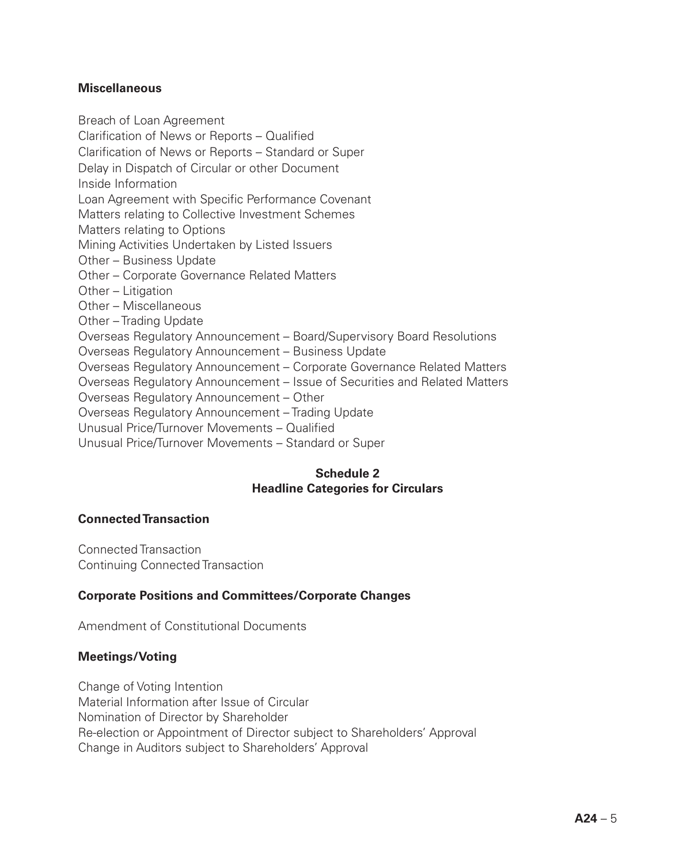## **Miscellaneous**

Breach of Loan Agreement Clarification of News or Reports – Qualified Clarification of News or Reports – Standard or Super Delay in Dispatch of Circular or other Document Inside Information Loan Agreement with Specific Performance Covenant Matters relating to Collective Investment Schemes Matters relating to Options Mining Activities Undertaken by Listed Issuers Other – Business Update Other – Corporate Governance Related Matters Other – Litigation Other – Miscellaneous Other – Trading Update Overseas Regulatory Announcement – Board/Supervisory Board Resolutions Overseas Regulatory Announcement – Business Update Overseas Regulatory Announcement – Corporate Governance Related Matters Overseas Regulatory Announcement – Issue of Securities and Related Matters Overseas Regulatory Announcement – Other Overseas Regulatory Announcement – Trading Update Unusual Price/Turnover Movements – Qualified Unusual Price/Turnover Movements – Standard or Super

# **Schedule 2 Headline Categories for Circulars**

## **Connected Transaction**

Connected Transaction Continuing Connected Transaction

# **Corporate Positions and Committees/Corporate Changes**

Amendment of Constitutional Documents

# **Meetings/Voting**

Change of Voting Intention Material Information after Issue of Circular Nomination of Director by Shareholder Re-election or Appointment of Director subject to Shareholders' Approval Change in Auditors subject to Shareholders' Approval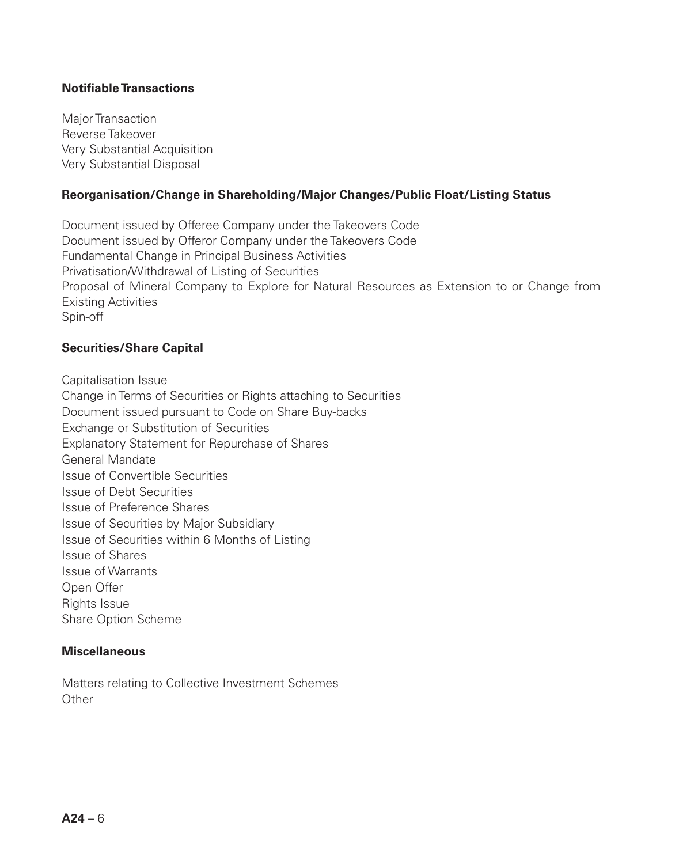## **Notifiable Transactions**

Major Transaction Reverse Takeover Very Substantial Acquisition Very Substantial Disposal

#### **Reorganisation/Change in Shareholding/Major Changes/Public Float/Listing Status**

Document issued by Offeree Company under the Takeovers Code Document issued by Offeror Company under the Takeovers Code Fundamental Change in Principal Business Activities Privatisation/Withdrawal of Listing of Securities Proposal of Mineral Company to Explore for Natural Resources as Extension to or Change from Existing Activities Spin-off

## **Securities/Share Capital**

Capitalisation Issue

Change in Terms of Securities or Rights attaching to Securities Document issued pursuant to Code on Share Buy-backs Exchange or Substitution of Securities Explanatory Statement for Repurchase of Shares General Mandate Issue of Convertible Securities Issue of Debt Securities Issue of Preference Shares Issue of Securities by Major Subsidiary Issue of Securities within 6 Months of Listing Issue of Shares Issue of Warrants Open Offer Rights Issue Share Option Scheme

#### **Miscellaneous**

Matters relating to Collective Investment Schemes **Other**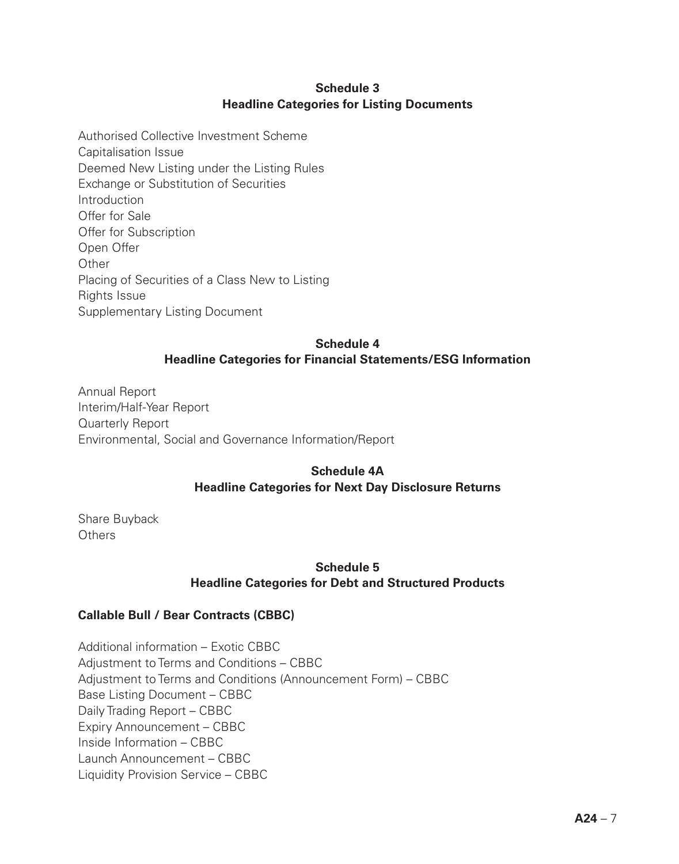# **Schedule 3 Headline Categories for Listing Documents**

Authorised Collective Investment Scheme Capitalisation Issue Deemed New Listing under the Listing Rules Exchange or Substitution of Securities **Introduction** Offer for Sale Offer for Subscription Open Offer Other Placing of Securities of a Class New to Listing Rights Issue Supplementary Listing Document

# **Schedule 4 Headline Categories for Financial Statements/ESG Information**

Annual Report Interim/Half-Year Report Quarterly Report Environmental, Social and Governance Information/Report

# **Schedule 4A Headline Categories for Next Day Disclosure Returns**

Share Buyback Others

# **Schedule 5 Headline Categories for Debt and Structured Products**

# **Callable Bull / Bear Contracts (CBBC)**

Additional information – Exotic CBBC Adjustment to Terms and Conditions – CBBC Adjustment to Terms and Conditions (Announcement Form) – CBBC Base Listing Document – CBBC Daily Trading Report – CBBC Expiry Announcement – CBBC Inside Information – CBBC Launch Announcement – CBBC Liquidity Provision Service – CBBC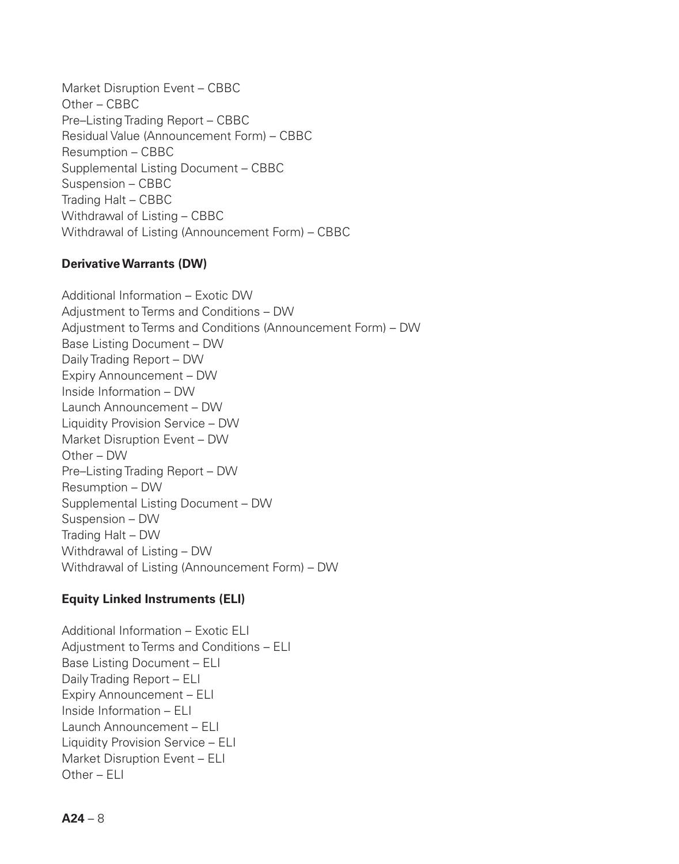Market Disruption Event – CBBC Other – CBBC Pre–Listing Trading Report – CBBC Residual Value (Announcement Form) – CBBC Resumption – CBBC Supplemental Listing Document – CBBC Suspension – CBBC Trading Halt – CBBC Withdrawal of Listing – CBBC Withdrawal of Listing (Announcement Form) – CBBC

# **Derivative Warrants (DW)**

Additional Information – Exotic DW Adjustment to Terms and Conditions – DW Adjustment to Terms and Conditions (Announcement Form) – DW Base Listing Document – DW Daily Trading Report – DW Expiry Announcement – DW Inside Information – DW Launch Announcement – DW Liquidity Provision Service – DW Market Disruption Event – DW Other – DW Pre–Listing Trading Report – DW Resumption – DW Supplemental Listing Document – DW Suspension – DW Trading Halt – DW Withdrawal of Listing – DW Withdrawal of Listing (Announcement Form) – DW

# **Equity Linked Instruments (ELI)**

Additional Information – Exotic ELI Adjustment to Terms and Conditions – ELI Base Listing Document – ELI Daily Trading Report – ELI Expiry Announcement – ELI Inside Information – ELI Launch Announcement – ELI Liquidity Provision Service – ELI Market Disruption Event – ELI Other – ELI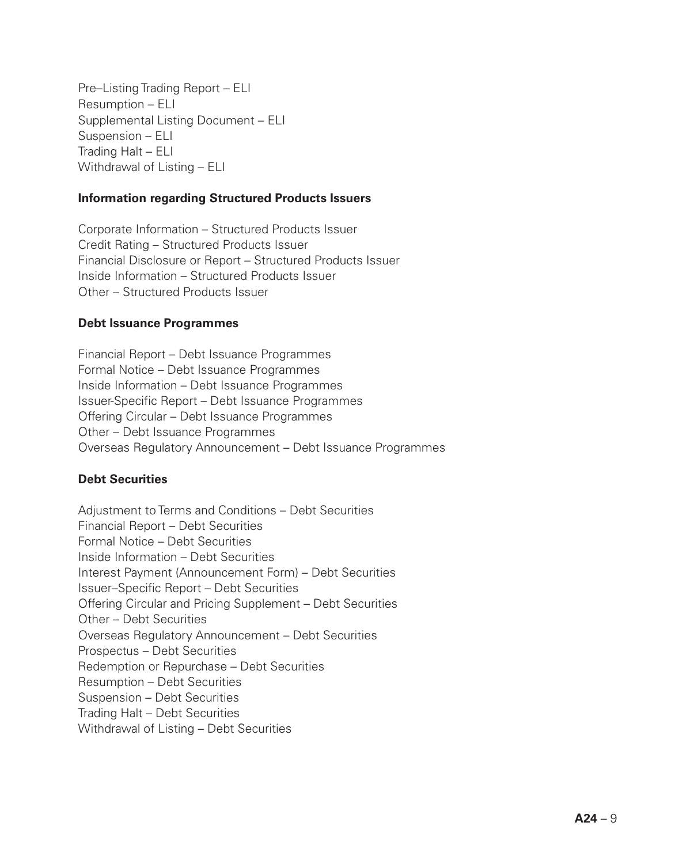Pre–Listing Trading Report – ELI Resumption – ELI Supplemental Listing Document – ELI Suspension – ELI Trading Halt – ELI Withdrawal of Listing – ELI

#### **Information regarding Structured Products Issuers**

Corporate Information – Structured Products Issuer Credit Rating – Structured Products Issuer Financial Disclosure or Report – Structured Products Issuer Inside Information – Structured Products Issuer Other – Structured Products Issuer

#### **Debt Issuance Programmes**

Financial Report – Debt Issuance Programmes Formal Notice – Debt Issuance Programmes Inside Information – Debt Issuance Programmes Issuer-Specific Report – Debt Issuance Programmes Offering Circular – Debt Issuance Programmes Other – Debt Issuance Programmes Overseas Regulatory Announcement – Debt Issuance Programmes

## **Debt Securities**

Adjustment to Terms and Conditions – Debt Securities Financial Report – Debt Securities Formal Notice – Debt Securities Inside Information – Debt Securities Interest Payment (Announcement Form) – Debt Securities Issuer–Specific Report – Debt Securities Offering Circular and Pricing Supplement – Debt Securities Other – Debt Securities Overseas Regulatory Announcement – Debt Securities Prospectus – Debt Securities Redemption or Repurchase – Debt Securities Resumption – Debt Securities Suspension – Debt Securities Trading Halt – Debt Securities Withdrawal of Listing – Debt Securities